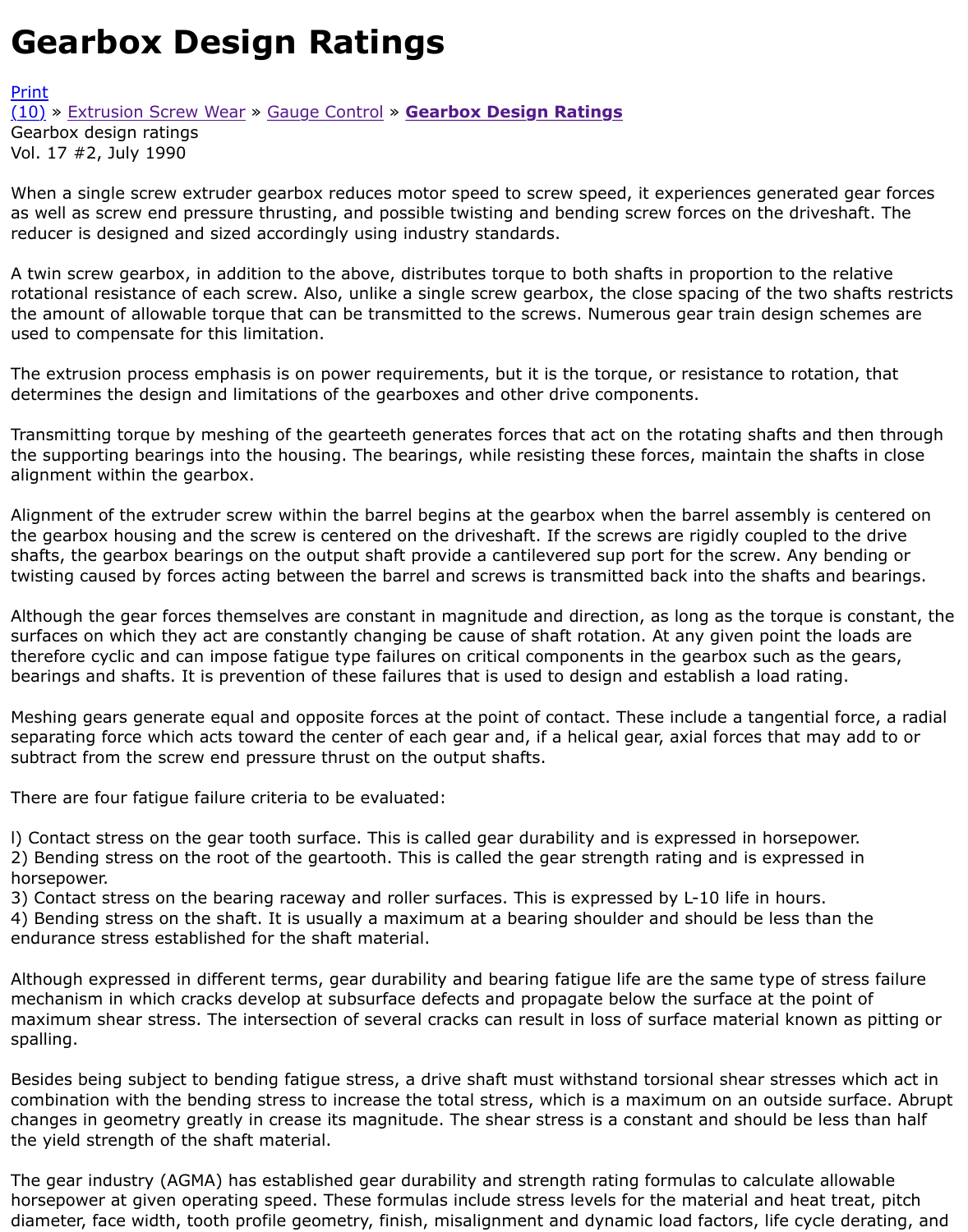When a single screw extruder gearbox reduces motor speed to screw speed, it experiences generate as well as screw end pressure thrusting, and possible twisting and bending screw forces on the drive reducer is designed and sized accordingly using industry standards.

[A tw](http://extrusionwiki.com/wiki/CC-V17-2-B.ashx#)[i](http://extrusionwiki.com/wiki/Print.aspx?Page=CC-V17-2-B)n [screw gearbox, in add](http://extrusionwiki.com/wiki/CC-V17-1-B.ashx)iti[on to the above](http://extrusionwiki.com/wiki/CC-V17-2-A.ashx), [distributes torque to both s](http://extrusionwiki.com/wiki/CC-V17-2-B.ashx)hafts in proportion to the rotational resistance of each screw. Also, unlike a single screw gearbox, the close spacing of the two the amount of allowable torque that can be transmitted to the screws. Numerous gear train design s used to compensate for this limitation.

The extrusion process emphasis is on power requirements, but it is the torque, or resistance to rota determines the design and limitations of the gearboxes and other drive components.

Transmitting torque by meshing of the gearteeth generates forces that act on the rotating shafts an the supporting bearings into the housing. The bearings, while resisting these forces, maintain the shafts in clo alignment within the gearbox.

Alignment of the extruder screw within the barrel begins at the gearbox when the barrel assembly i the gearbox housing and the screw is centered on the driveshaft. If the screws are rigidly coupled to shafts, the gearbox bearings on the output shaft provide a cantilevered sup port for the screw. Any twisting caused by forces acting between the barrel and screws is transmitted back into the shafts a

Although the gear forces themselves are constant in magnitude and direction, as long as the torque surfaces on which they act are constantly changing be cause of shaft rotation. At any given point th therefore cyclic and can impose fatigue type failures on critical components in the gearbox such as t bearings and shafts. It is prevention of these failures that is used to design and establish a load rati

Meshing gears generate equal and opposite forces at the point of contact. These include a tangentia separating force which acts toward the center of each gear and, if a helical gear, axial forces that m subtract from the screw end pressure thrust on the output shafts.

There are four fatigue failure criteria to be evaluated:

l) Contact stress on the gear tooth surface. This is called gear durability and is expressed in horsepo 2) Bending stress on the root of the geartooth. This is called the gear strength rating and is express horsepower.

3) Contact stress on the bearing raceway and roller surfaces. This is expressed by L-10 life in hours.

4) Bending stress on the shaft. It is usually a maximum at a bearing shoulder and should be less th endurance stress established for the shaft material.

Although expressed in different terms, gear durability and bearing fatigue life are the same type of mechanism in which cracks develop at subsurface defects and propagate below the surface at the p maximum shear stress. The intersection of several cracks can result in loss of surface material knov spalling.

Besides being subject to bending fatigue stress, a drive shaft must withstand torsional shear stresse combination with the bending stress to increase the total stress, which is a maximum on an outside changes in geometry greatly in crease its magnitude. The shear stress is a constant and should be I the yield strength of the shaft material.

The gear industry (AGMA) has established gear durability and strength rating formulas to calculate all horsepower at given operating speed. These formulas include stress levels for the material and heat diameter, face width, tooth profile geometry, finish, misalignment and dynamic load factors, life cyc